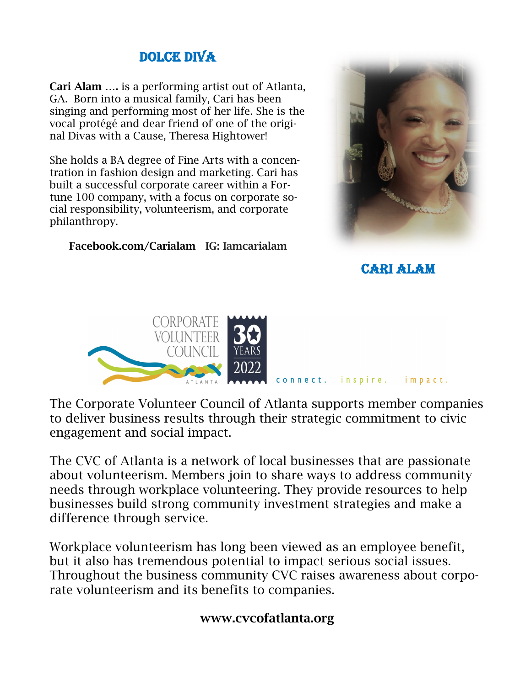# DOLCE DIVA

Cari Alam …. is a performing artist out of Atlanta, GA. Born into a musical family, Cari has been singing and performing most of her life. She is the vocal protégé and dear friend of one of the original Divas with a Cause, Theresa Hightower!

She holds a BA degree of Fine Arts with a concentration in fashion design and marketing. Cari has built a successful corporate career within a Fortune 100 company, with a focus on corporate social responsibility, volunteerism, and corporate philanthropy.

Facebook.com/Carialam IG: Iamcarialam



Cari Alam



The Corporate Volunteer Council of Atlanta supports member companies to deliver business results through their strategic commitment to civic engagement and social impact.

The CVC of Atlanta is a network of local businesses that are passionate about volunteerism. Members join to share ways to address community needs through workplace volunteering. They provide resources to help businesses build strong community investment strategies and make a difference through service.

Workplace volunteerism has long been viewed as an employee benefit, but it also has tremendous potential to impact serious social issues. Throughout the business community CVC raises awareness about corporate volunteerism and its benefits to companies.

### www.cvcofatlanta.org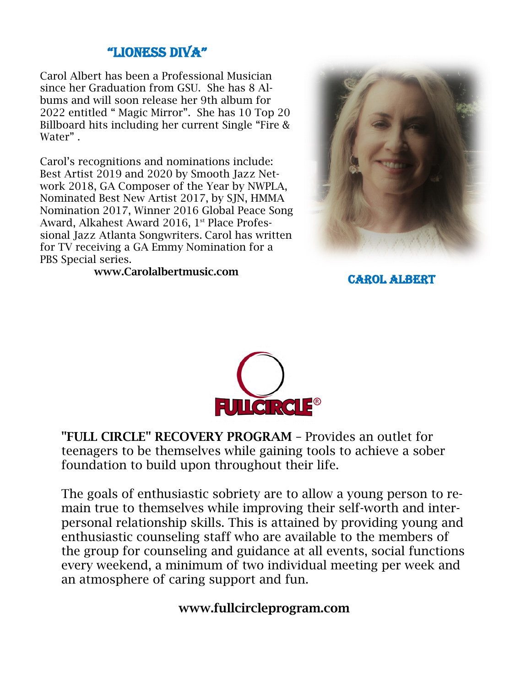## "LIONESS DIVA"

Carol Albert has been a Professional Musician since her Graduation from GSU. She has 8 Albums and will soon release her 9th album for 2022 entitled " Magic Mirror". She has 10 Top 20 Billboard hits including her current Single "Fire & Water" .

Carol's recognitions and nominations include: Best Artist 2019 and 2020 by Smooth Jazz Network 2018, GA Composer of the Year by NWPLA, Nominated Best New Artist 2017, by SJN, HMMA Nomination 2017, Winner 2016 Global Peace Song Award, Alkahest Award 2016, 1<sup>st</sup> Place Professional Jazz Atlanta Songwriters. Carol has written for TV receiving a GA Emmy Nomination for a PBS Special series.



www.Carolalbertmusic.com

Carol Albert



"FULL CIRCLE" RECOVERY PROGRAM – Provides an outlet for teenagers to be themselves while gaining tools to achieve a sober foundation to build upon throughout their life.

The goals of enthusiastic sobriety are to allow a young person to remain true to themselves while improving their self-worth and interpersonal relationship skills. This is attained by providing young and enthusiastic counseling staff who are available to the members of the group for counseling and guidance at all events, social functions every weekend, a minimum of two individual meeting per week and an atmosphere of caring support and fun.

### www.fullcircleprogram.com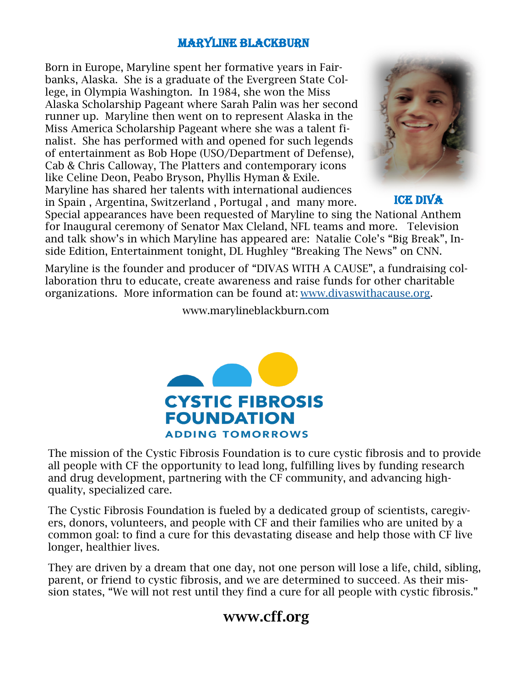#### Maryline Blackburn

Born in Europe, Maryline spent her formative years in Fairbanks, Alaska. She is a graduate of the Evergreen State College, in Olympia Washington. In 1984, she won the Miss Alaska Scholarship Pageant where Sarah Palin was her second runner up. Maryline then went on to represent Alaska in the Miss America Scholarship Pageant where she was a talent finalist. She has performed with and opened for such legends of entertainment as Bob Hope (USO/Department of Defense), Cab & Chris Calloway, The Platters and contemporary icons like Celine Deon, Peabo Bryson, Phyllis Hyman & Exile. Maryline has shared her talents with international audiences in Spain , Argentina, Switzerland , Portugal , and many more.



ICE DIVA

Special appearances have been requested of Maryline to sing the National Anthem for Inaugural ceremony of Senator Max Cleland, NFL teams and more. Television and talk show's in which Maryline has appeared are: Natalie Cole's "Big Break", Inside Edition, Entertainment tonight, DL Hughley "Breaking The News" on CNN.

Maryline is the founder and producer of "DIVAS WITH A CAUSE", a fundraising collaboration thru to educate, create awareness and raise funds for other charitable organizations. More information can be found at: [www.divaswithacause.org.](http://www.divaswithacause.org)

www.marylineblackburn.com



The mission of the Cystic Fibrosis Foundation is to cure cystic fibrosis and to provide all people with CF the opportunity to lead long, fulfilling lives by funding research and drug development, partnering with the CF community, and advancing highquality, specialized care.

The Cystic Fibrosis Foundation is fueled by a dedicated group of scientists, caregivers, donors, volunteers, and people with CF and their families who are united by a common goal: to find a cure for this devastating disease and help those with CF live longer, healthier lives.

They are driven by a dream that one day, not one person will lose a life, child, sibling, parent, or friend to cystic fibrosis, and we are determined to succeed. As their mission states, "We will not rest until they find a cure for all people with cystic fibrosis."

# www.cff.org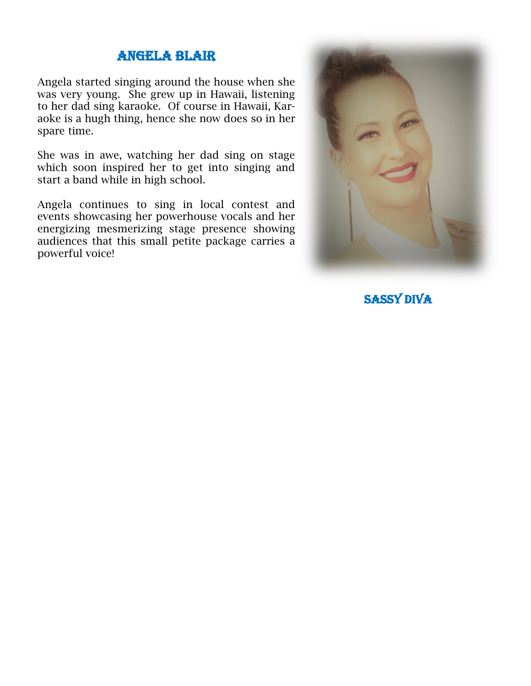#### ANGELA BLAIR

Angela started singing around the house when she was very young. She grew up in Hawaii, listening to her dad sing karaoke. Of course in Hawaii, Karaoke is a hugh thing, hence she now does so in her spare time.

She was in awe, watching her dad sing on stage which soon inspired her to get into singing and start a band while in high school.

Angela continues to sing in local contest and events showcasing her powerhouse vocals and her energizing mesmerizing stage presence showing audiences that this small petite package carries a powerful voice!



SASSY DIVA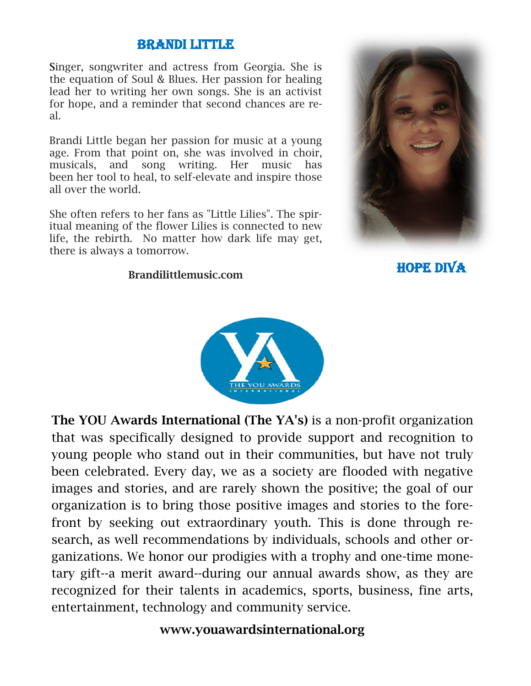### **BRANDI LITTLE**

Singer, songwriter and actress from Georgia. She is the equation of Soul & Blues. Her passion for healing lead her to writing her own songs. She is an activist for hope, and a reminder that second chances are real.

Brandi Little began her passion for music at a young age. From that point on, she was involved in choir, musicals, and song writing. Her music has been her tool to heal, to self-elevate and inspire those all over the world.

She often refers to her fans as "Little Lilies". The spiritual meaning of the flower Lilies is connected to new life, the rebirth. No matter how dark life may get, there is always a tomorrow.

#### Brandilittlemusic.com



HOPE DIVA



The YOU Awards International (The YA's) is a non-profit organization that was specifically designed to provide support and recognition to young people who stand out in their communities, but have not truly been celebrated. Every day, we as a society are flooded with negative images and stories, and are rarely shown the positive; the goal of our organization is to bring those positive images and stories to the forefront by seeking out extraordinary youth. This is done through research, as well recommendations by individuals, schools and other organizations. We honor our prodigies with a trophy and one-time monetary gift--a merit award--during our annual awards show, as they are recognized for their talents in academics, sports, business, fine arts, entertainment, technology and community service.

### www.youawardsinternational.org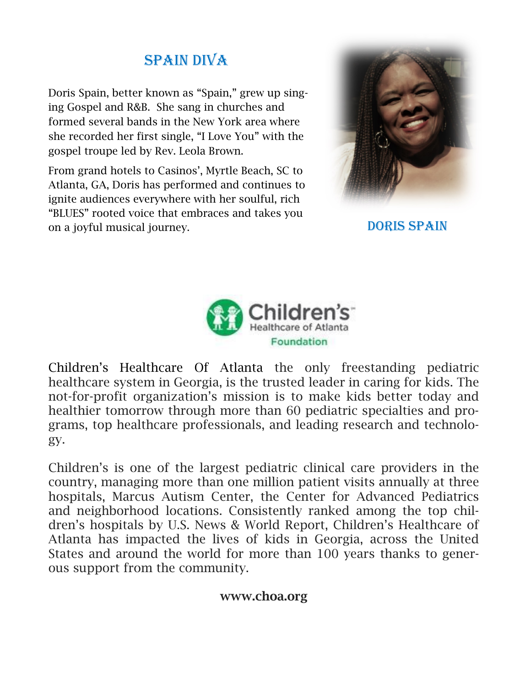# SPAIN DIVA

Doris Spain, better known as "Spain," grew up singing Gospel and R&B. She sang in churches and formed several bands in the New York area where she recorded her first single, "I Love You" with the gospel troupe led by Rev. Leola Brown.

From grand hotels to Casinos', Myrtle Beach, SC to Atlanta, GA, Doris has performed and continues to ignite audiences everywhere with her soulful, rich "BLUES" rooted voice that embraces and takes you on a joyful musical journey.



DORIS SPAIN



Children's Healthcare Of Atlanta the only freestanding pediatric healthcare system in Georgia, is the trusted leader in caring for kids. The not-for-profit organization's mission is to make kids better today and healthier tomorrow through more than 60 pediatric specialties and programs, top healthcare professionals, and leading research and technology.

Children's is one of the largest pediatric clinical care providers in the country, managing more than one million patient visits annually at three hospitals, Marcus Autism Center, the Center for Advanced Pediatrics and neighborhood locations. Consistently ranked among the top children's hospitals by U.S. News & World Report, Children's Healthcare of Atlanta has impacted the lives of kids in Georgia, across the United States and around the world for more than 100 years thanks to generous support from the community.

### www.choa.org